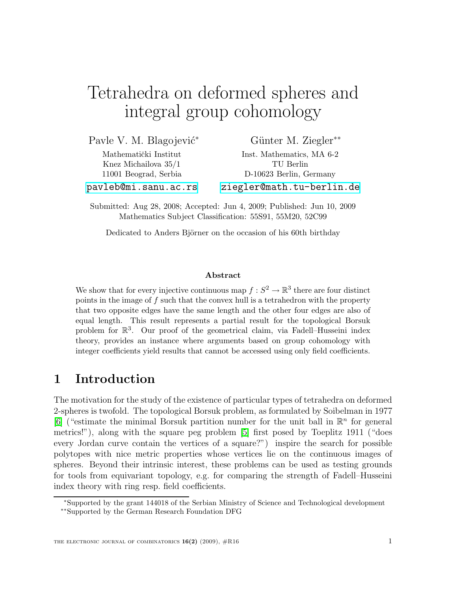# Tetrahedra on deformed spheres and integral group cohomology

Pavle V. M. Blagojević<sup>\*</sup>

Mathematički Institut Knez Michailova 35/1 11001 Beograd, Serbia Günter M. Ziegler<sup>\*\*</sup>

Inst. Mathematics, MA 6-2 TU Berlin D-10623 Berlin, Germany <ziegler@math.tu-berlin.de>

<pavleb@mi.sanu.ac.rs>

Submitted: Aug 28, 2008; Accepted: Jun 4, 2009; Published: Jun 10, 2009 Mathematics Subject Classification: 55S91, 55M20, 52C99

Dedicated to Anders Björner on the occasion of his 60th birthday

### Abstract

We show that for every injective continuous map  $f: S^2 \to \mathbb{R}^3$  there are four distinct points in the image of f such that the convex hull is a tetrahedron with the property that two opposite edges have the same length and the other four edges are also of equal length. This result represents a partial result for the topological Borsuk problem for  $\mathbb{R}^3$ . Our proof of the geometrical claim, via Fadell–Husseini index theory, provides an instance where arguments based on group cohomology with integer coefficients yield results that cannot be accessed using only field coefficients.

## 1 Introduction

The motivation for the study of the existence of particular types of tetrahedra on deformed 2-spheres is twofold. The topological Borsuk problem, as formulated by Soibelman in 1977 [\[6\]](#page-10-0) ("estimate the minimal Borsuk partition number for the unit ball in  $\mathbb{R}^n$  for general metrics!"), along with the square peg problem [\[5\]](#page-10-1) first posed by Toeplitz 1911 ("does every Jordan curve contain the vertices of a square?") inspire the search for possible polytopes with nice metric properties whose vertices lie on the continuous images of spheres. Beyond their intrinsic interest, these problems can be used as testing grounds for tools from equivariant topology, e.g. for comparing the strength of Fadell–Husseini index theory with ring resp. field coefficients.

<sup>∗</sup>Supported by the grant 144018 of the Serbian Ministry of Science and Technological development

<sup>∗∗</sup>Supported by the German Research Foundation DFG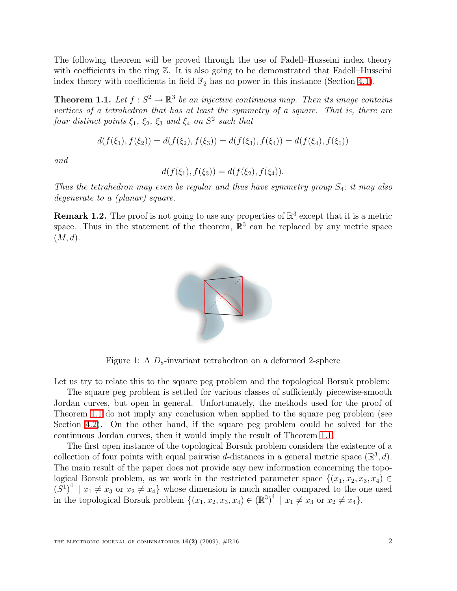The following theorem will be proved through the use of Fadell–Husseini index theory with coefficients in the ring  $\mathbb{Z}$ . It is also going to be demonstrated that Fadell–Husseini index theory with coefficients in field  $\mathbb{F}_2$  has no power in this instance (Section [4.1\)](#page-9-0).

<span id="page-1-0"></span>**Theorem 1.1.** Let  $f : S^2 \to \mathbb{R}^3$  be an injective continuous map. Then its image contains vertices of a tetrahedron that has at least the symmetry of a square. That is, there are four distinct points  $\xi_1$ ,  $\xi_2$ ,  $\xi_3$  and  $\xi_4$  on  $S^2$  such that

$$
d(f(\xi_1), f(\xi_2)) = d(f(\xi_2), f(\xi_3)) = d(f(\xi_3), f(\xi_4)) = d(f(\xi_4), f(\xi_1))
$$

and

$$
d(f(\xi_1), f(\xi_3)) = d(f(\xi_2), f(\xi_4)).
$$

Thus the tetrahedron may even be regular and thus have symmetry group  $S_4$ ; it may also degenerate to a (planar) square.

**Remark 1.2.** The proof is not going to use any properties of  $\mathbb{R}^3$  except that it is a metric space. Thus in the statement of the theorem,  $\mathbb{R}^3$  can be replaced by any metric space  $(M, d)$ .



Figure 1: A  $D_8$ -invariant tetrahedron on a deformed 2-sphere

Let us try to relate this to the square peg problem and the topological Borsuk problem:

The square peg problem is settled for various classes of sufficiently piecewise-smooth Jordan curves, but open in general. Unfortunately, the methods used for the proof of Theorem [1.1](#page-1-0) do not imply any conclusion when applied to the square peg problem (see Section [4.2\)](#page-9-1). On the other hand, if the square peg problem could be solved for the continuous Jordan curves, then it would imply the result of Theorem [1.1.](#page-1-0)

The first open instance of the topological Borsuk problem considers the existence of a collection of four points with equal pairwise d-distances in a general metric space  $(\mathbb{R}^3, d)$ . The main result of the paper does not provide any new information concerning the topological Borsuk problem, as we work in the restricted parameter space  $\{(x_1, x_2, x_3, x_4) \in$  $(S^1)^4$  |  $x_1 \neq x_3$  or  $x_2 \neq x_4$ } whose dimension is much smaller compared to the one used in the topological Borsuk problem  $\{(x_1, x_2, x_3, x_4) \in (\mathbb{R}^3)^4 \mid x_1 \neq x_3 \text{ or } x_2 \neq x_4\}.$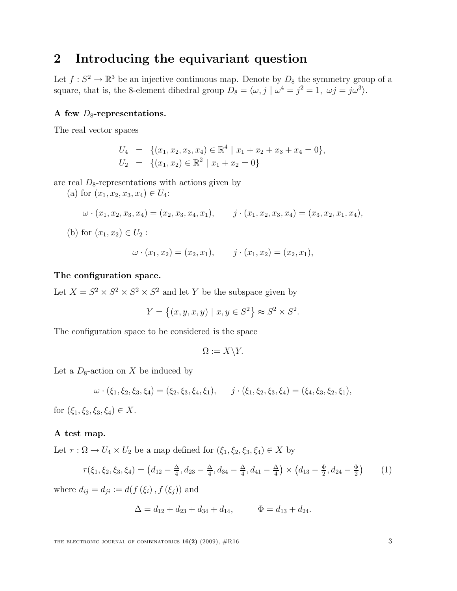## <span id="page-2-0"></span>2 Introducing the equivariant question

Let  $f: S^2 \to \mathbb{R}^3$  be an injective continuous map. Denote by  $D_8$  the symmetry group of a square, that is, the 8-element dihedral group  $D_8 = \langle \omega, j | \omega^4 = j^2 = 1, \ \omega j = j\omega^3 \rangle$ .

### A few  $D_8$ -representations.

The real vector spaces

$$
U_4 = \{ (x_1, x_2, x_3, x_4) \in \mathbb{R}^4 \mid x_1 + x_2 + x_3 + x_4 = 0 \},
$$
  

$$
U_2 = \{ (x_1, x_2) \in \mathbb{R}^2 \mid x_1 + x_2 = 0 \}
$$

are real  $D_8$ -representations with actions given by

(a) for  $(x_1, x_2, x_3, x_4) \in U_4$ :

$$
\omega \cdot (x_1, x_2, x_3, x_4) = (x_2, x_3, x_4, x_1), \qquad j \cdot (x_1, x_2, x_3, x_4) = (x_3, x_2, x_1, x_4),
$$

(b) for  $(x_1, x_2) \in U_2$ :

$$
\omega \cdot (x_1, x_2) = (x_2, x_1), \qquad j \cdot (x_1, x_2) = (x_2, x_1),
$$

### The configuration space.

Let  $X = S^2 \times S^2 \times S^2 \times S^2$  and let Y be the subspace given by

$$
Y = \{(x, y, x, y) | x, y \in S^2\} \approx S^2 \times S^2.
$$

The configuration space to be considered is the space

$$
\Omega := X \backslash Y.
$$

Let a  $D_8$ -action on X be induced by

$$
\omega \cdot (\xi_1, \xi_2, \xi_3, \xi_4) = (\xi_2, \xi_3, \xi_4, \xi_1), \qquad j \cdot (\xi_1, \xi_2, \xi_3, \xi_4) = (\xi_4, \xi_3, \xi_2, \xi_1),
$$

for  $(\xi_1, \xi_2, \xi_3, \xi_4) \in X$ .

#### A test map.

Let  $\tau : \Omega \to U_4 \times U_2$  be a map defined for  $(\xi_1, \xi_2, \xi_3, \xi_4) \in X$  by

$$
\tau(\xi_1, \xi_2, \xi_3, \xi_4) = (d_{12} - \frac{\Delta}{4}, d_{23} - \frac{\Delta}{4}, d_{34} - \frac{\Delta}{4}, d_{41} - \frac{\Delta}{4}) \times (d_{13} - \frac{\Phi}{2}, d_{24} - \frac{\Phi}{2}) \tag{1}
$$

where  $d_{ij} = d_{ji} := d(f(\xi_i), f(\xi_j))$  and

$$
\Delta = d_{12} + d_{23} + d_{34} + d_{14}, \qquad \Phi = d_{13} + d_{24}.
$$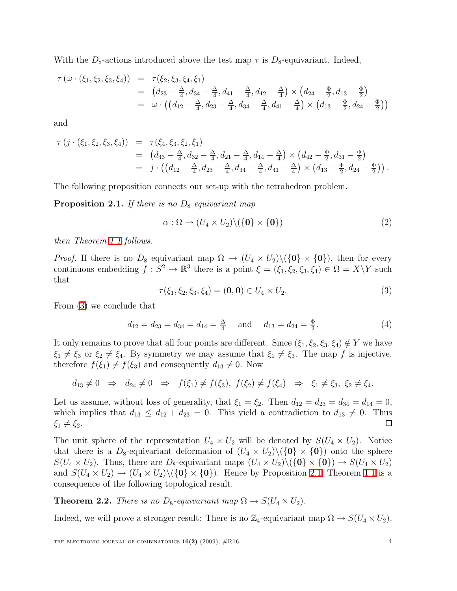With the  $D_8$ -actions introduced above the test map  $\tau$  is  $D_8$ -equivariant. Indeed,

$$
\tau(\omega \cdot (\xi_1, \xi_2, \xi_3, \xi_4)) = \tau(\xi_2, \xi_3, \xi_4, \xi_1)
$$
  
\n
$$
= (d_{23} - \frac{\Delta}{4}, d_{34} - \frac{\Delta}{4}, d_{41} - \frac{\Delta}{4}, d_{12} - \frac{\Delta}{4}) \times (d_{24} - \frac{\Phi}{2}, d_{13} - \frac{\Phi}{2})
$$
  
\n
$$
= \omega \cdot ((d_{12} - \frac{\Delta}{4}, d_{23} - \frac{\Delta}{4}, d_{34} - \frac{\Delta}{4}, d_{41} - \frac{\Delta}{4}) \times (d_{13} - \frac{\Phi}{2}, d_{24} - \frac{\Phi}{2}))
$$

and

$$
\tau(j \cdot (\xi_1, \xi_2, \xi_3, \xi_4)) = \tau(\xi_4, \xi_3, \xi_2, \xi_1)
$$
  
=  $(d_{43} - \frac{\Delta}{4}, d_{32} - \frac{\Delta}{4}, d_{21} - \frac{\Delta}{4}, d_{14} - \frac{\Delta}{4}) \times (d_{42} - \frac{\Phi}{2}, d_{31} - \frac{\Phi}{2})$   
=  $j \cdot ((d_{12} - \frac{\Delta}{4}, d_{23} - \frac{\Delta}{4}, d_{34} - \frac{\Delta}{4}, d_{41} - \frac{\Delta}{4}) \times (d_{13} - \frac{\Phi}{2}, d_{24} - \frac{\Phi}{2})).$ 

<span id="page-3-1"></span>The following proposition connects our set-up with the tetrahedron problem.

**Proposition 2.1.** If there is no  $D_8$  equivariant map

$$
\alpha: \Omega \to (U_4 \times U_2) \setminus (\{\mathbf{0}\} \times \{\mathbf{0}\})
$$
\n<sup>(2)</sup>

then Theorem [1.1](#page-1-0) follows.

*Proof.* If there is no  $D_8$  equivariant map  $\Omega \to (U_4 \times U_2) \setminus (\{0\} \times \{0\})$ , then for every continuous embedding  $f: S^2 \to \mathbb{R}^3$  there is a point  $\xi = (\xi_1, \xi_2, \xi_3, \xi_4) \in \Omega = X \backslash Y$  such that

$$
\tau(\xi_1, \xi_2, \xi_3, \xi_4) = (0, 0) \in U_4 \times U_2.
$$
\n(3)

From [\(3\)](#page-3-0) we conclude that

<span id="page-3-0"></span>
$$
d_{12} = d_{23} = d_{34} = d_{14} = \frac{\Delta}{4}
$$
 and  $d_{13} = d_{24} = \frac{\Phi}{2}$ . (4)

It only remains to prove that all four points are different. Since  $(\xi_1, \xi_2, \xi_3, \xi_4) \notin Y$  we have  $\xi_1 \neq \xi_3$  or  $\xi_2 \neq \xi_4$ . By symmetry we may assume that  $\xi_1 \neq \xi_3$ . The map f is injective, therefore  $f(\xi_1) \neq f(\xi_3)$  and consequently  $d_{13} \neq 0$ . Now

$$
d_{13} \neq 0 \Rightarrow d_{24} \neq 0 \Rightarrow f(\xi_1) \neq f(\xi_3), \ f(\xi_2) \neq f(\xi_4) \Rightarrow \xi_1 \neq \xi_3, \ \xi_2 \neq \xi_4.
$$

Let us assume, without loss of generality, that  $\xi_1 = \xi_2$ . Then  $d_{12} = d_{23} = d_{34} = d_{14} = 0$ , which implies that  $d_{13} \leq d_{12} + d_{23} = 0$ . This yield a contradiction to  $d_{13} \neq 0$ . Thus  $\Box$  $\xi_1 \neq \xi_2$ .

The unit sphere of the representation  $U_4 \times U_2$  will be denoted by  $S(U_4 \times U_2)$ . Notice that there is a  $D_8$ -equivariant deformation of  $(U_4 \times U_2) \setminus (\{0\} \times \{0\})$  onto the sphere  $S(U_4 \times U_2)$ . Thus, there are  $D_8$ -equivariant maps  $(U_4 \times U_2) \setminus (\{0\} \times \{0\}) \to S(U_4 \times U_2)$ and  $S(U_4 \times U_2) \rightarrow (U_4 \times U_2) \setminus (\{0\} \times \{0\})$ . Hence by Proposition [2.1,](#page-3-1) Theorem [1.1](#page-1-0) is a consequence of the following topological result.

<span id="page-3-2"></span>**Theorem 2.2.** There is no  $D_8$ -equivariant map  $\Omega \rightarrow S(U_4 \times U_2)$ .

Indeed, we will prove a stronger result: There is no  $\mathbb{Z}_4$ -equivariant map  $\Omega \to S(U_4 \times U_2)$ .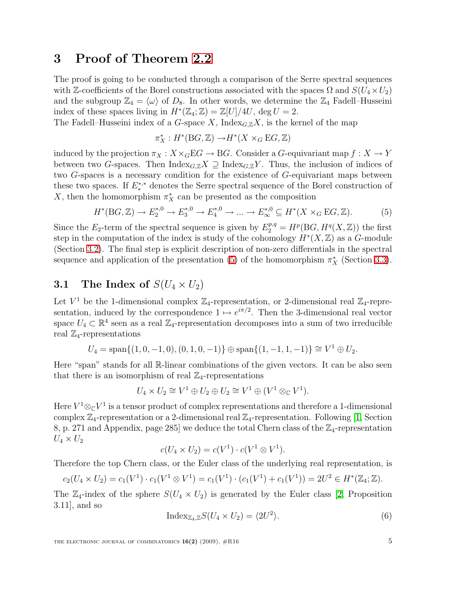## 3 Proof of Theorem [2.2](#page-3-2)

The proof is going to be conducted through a comparison of the Serre spectral sequences with Z-coefficients of the Borel constructions associated with the spaces  $\Omega$  and  $S(U_4 \times U_2)$ and the subgroup  $\mathbb{Z}_4 = \langle \omega \rangle$  of  $D_8$ . In other words, we determine the  $\mathbb{Z}_4$  Fadell–Husseini index of these spaces living in  $H^*(\mathbb{Z}_4; \mathbb{Z}) = \mathbb{Z}[U]/4U$ , deg  $U = 2$ .

The Fadell–Husseini index of a G-space X, Index $_{G,\mathbb{Z}}X$ , is the kernel of the map

$$
\pi_X^*: H^*(BG, \mathbb{Z}) \to H^*(X \times_G EG, \mathbb{Z})
$$

induced by the projection  $\pi_X : X \times_G \mathbb{E}G \to BG$ . Consider a G-equivariant map  $f : X \to Y$ between two G-spaces. Then  ${\rm Index}_{G,\mathbb{Z}}X \supseteq {\rm Index}_{G,\mathbb{Z}}Y$ . Thus, the inclusion of indices of two G-spaces is a necessary condition for the existence of G-equivariant maps between these two spaces. If  $E_*^{*,*}$  denotes the Serre spectral sequence of the Borel construction of X, then the homomorphism  $\pi_X^*$  can be presented as the composition

$$
H^*(BG, \mathbb{Z}) \to E_2^{*,0} \to E_3^{*,0} \to E_4^{*,0} \to \dots \to E_{\infty}^{*,0} \subseteq H^*(X \times_G EG, \mathbb{Z}).
$$
 (5)

<span id="page-4-0"></span>Since the  $E_2$ -term of the spectral sequence is given by  $E_2^{p,q} = H^p(BG, H^q(X, \mathbb{Z}))$  the first step in the computation of the index is study of the cohomology  $H^*(X, \mathbb{Z})$  as a G-module (Section [3.2\)](#page-5-0). The final step is explicit description of non-zero differentials in the spectral sequence and application of the presentation [\(5\)](#page-4-0) of the homomorphism  $\pi_X^*$  (Section [3.3\)](#page-6-0).

### 3.1 The Index of  $S(U_4 \times U_2)$

Let  $V^1$  be the 1-dimensional complex  $\mathbb{Z}_4$ -representation, or 2-dimensional real  $\mathbb{Z}_4$ -representation, induced by the correspondence  $1 \mapsto e^{i\pi/2}$ . Then the 3-dimensional real vector space  $U_4 \subset \mathbb{R}^4$  seen as a real  $\mathbb{Z}_4$ -representation decomposes into a sum of two irreducible real  $\mathbb{Z}_4$ -representations

$$
U_4 = \text{span}\{(1, 0, -1, 0), (0, 1, 0, -1)\} \oplus \text{span}\{(1, -1, 1, -1)\} \cong V^1 \oplus U_2.
$$

Here "span" stands for all R-linear combinations of the given vectors. It can be also seen that there is an isomorphism of real  $\mathbb{Z}_4$ -representations

$$
U_4 \times U_2 \cong V^1 \oplus U_2 \oplus U_2 \cong V^1 \oplus (V^1 \otimes_{\mathbb{C}} V^1).
$$

Here  $V^1 \otimes_{\mathbb{C}} V^1$  is a tensor product of complex representations and therefore a 1-dimensional complex  $\mathbb{Z}_4$ -representation or a 2-dimensional real  $\mathbb{Z}_4$ -representation. Following [\[1,](#page-10-2) Section 8, p. 271 and Appendix, page 285 we deduce the total Chern class of the  $\mathbb{Z}_4$ -representation  $U_4 \times U_2$ 

$$
c(U_4 \times U_2) = c(V^1) \cdot c(V^1 \otimes V^1).
$$

Therefore the top Chern class, or the Euler class of the underlying real representation, is

$$
c_2(U_4 \times U_2) = c_1(V^1) \cdot c_1(V^1 \otimes V^1) = c_1(V^1) \cdot (c_1(V^1) + c_1(V^1)) = 2U^2 \in H^*(\mathbb{Z}_4; \mathbb{Z}).
$$

The  $\mathbb{Z}_4$ -index of the sphere  $S(U_4 \times U_2)$  is generated by the Euler class [\[2,](#page-10-3) Proposition 3.11], and so

$$
Index_{\mathbb{Z}_4, \mathbb{Z}}S(U_4 \times U_2) = \langle 2U^2 \rangle.
$$
 (6)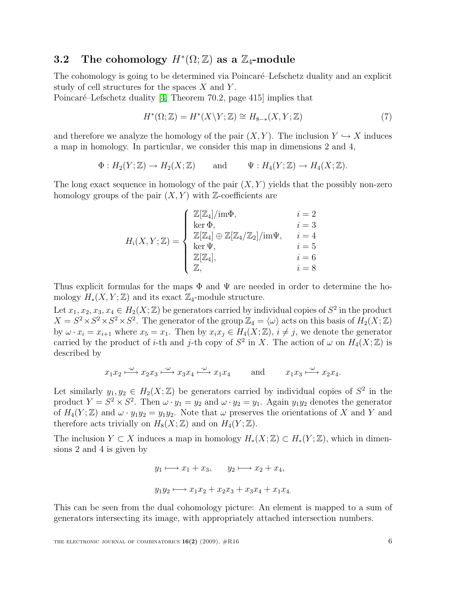## <span id="page-5-0"></span>3.2 The cohomology  $H^*(\Omega;\mathbb{Z})$  as a  $\mathbb{Z}_4$ -module

The cohomology is going to be determined via Poincaré–Lefschetz duality and an explicit study of cell structures for the spaces  $X$  and  $Y$ .

<span id="page-5-1"></span>Poincaré–Lefschetz duality  $[4,$  Theorem 70.2, page 415] implies that

$$
H^*(\Omega; \mathbb{Z}) = H^*(X \backslash Y; \mathbb{Z}) \cong H_{8-*}(X, Y; \mathbb{Z}) \tag{7}
$$

and therefore we analyze the homology of the pair  $(X, Y)$ . The inclusion  $Y \hookrightarrow X$  induces a map in homology. In particular, we consider this map in dimensions 2 and 4,

$$
\Phi: H_2(Y; \mathbb{Z}) \to H_2(X; \mathbb{Z})
$$
 and  $\Psi: H_4(Y; \mathbb{Z}) \to H_4(X; \mathbb{Z}).$ 

The long exact sequence in homology of the pair  $(X, Y)$  yields that the possibly non-zero homology groups of the pair  $(X, Y)$  with Z-coefficients are

$$
H_i(X, Y; \mathbb{Z}) = \begin{cases} \mathbb{Z}[\mathbb{Z}_4] / \text{im}\Phi, & i = 2 \\ \text{ker }\Phi, & i = 3 \\ \mathbb{Z}[\mathbb{Z}_4] \oplus \mathbb{Z}[\mathbb{Z}_4 / \mathbb{Z}_2] / \text{im}\Psi, & i = 4 \\ \text{ker }\Psi, & i = 5 \\ \mathbb{Z}[\mathbb{Z}_4], & i = 6 \\ \mathbb{Z}, & i = 8 \end{cases}
$$

Thus explicit formulas for the maps  $\Phi$  and  $\Psi$  are needed in order to determine the homology  $H_*(X, Y; \mathbb{Z})$  and its exact  $\mathbb{Z}_4$ -module structure.

Let  $x_1, x_2, x_3, x_4 \in H_2(X; \mathbb{Z})$  be generators carried by individual copies of  $S^2$  in the product  $X = S^2 \times S^2 \times S^2$ . The generator of the group  $\mathbb{Z}_4 = \langle \omega \rangle$  acts on this basis of  $H_2(X; \mathbb{Z})$ by  $\omega \cdot x_i = x_{i+1}$  where  $x_5 = x_1$ . Then by  $x_i x_j \in H_4(X; \mathbb{Z}), i \neq j$ , we denote the generator carried by the product of *i*-th and *j*-th copy of  $S^2$  in X. The action of  $\omega$  on  $H_4(X;\mathbb{Z})$  is described by

$$
x_1x_2 \xrightarrow{\cdot \omega} x_2x_3 \xrightarrow{\cdot \omega} x_3x_4 \xrightarrow{\cdot \omega} x_1x_4
$$
 and  $x_1x_3 \xrightarrow{\cdot \omega} x_2x_4$ .

Let similarly  $y_1, y_2 \in H_2(X; \mathbb{Z})$  be generators carried by individual copies of  $S^2$  in the product  $Y = S^2 \times S^2$ . Then  $\omega \cdot y_1 = y_2$  and  $\omega \cdot y_2 = y_1$ . Again  $y_1 y_2$  denotes the generator of  $H_4(Y;\mathbb{Z})$  and  $\omega \cdot y_1y_2 = y_1y_2$ . Note that  $\omega$  preserves the orientations of X and Y and therefore acts trivially on  $H_8(X;\mathbb{Z})$  and on  $H_4(Y;\mathbb{Z})$ .

The inclusion  $Y \subset X$  induces a map in homology  $H_*(X;\mathbb{Z}) \subset H_*(Y;\mathbb{Z})$ , which in dimensions 2 and 4 is given by

$$
y_1 \longmapsto x_1 + x_3, \qquad y_2 \longmapsto x_2 + x_4,
$$
  

$$
y_1 y_2 \longmapsto x_1 x_2 + x_2 x_3 + x_3 x_4 + x_1 x_4.
$$

This can be seen from the dual cohomology picture: An element is mapped to a sum of generators intersecting its image, with appropriately attached intersection numbers.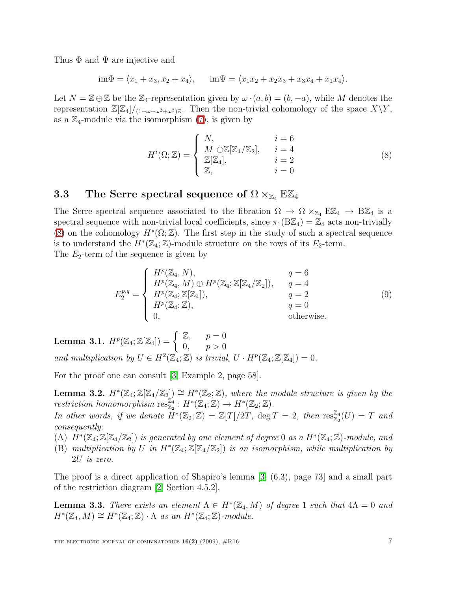Thus  $\Phi$  and  $\Psi$  are injective and

 $\lim \Phi = \langle x_1 + x_3, x_2 + x_4 \rangle, \quad \lim \Psi = \langle x_1 x_2 + x_2 x_3 + x_3 x_4 + x_1 x_4 \rangle.$ 

Let  $N = \mathbb{Z} \oplus \mathbb{Z}$  be the  $\mathbb{Z}_4$ -representation given by  $\omega \cdot (a, b) = (b, -a)$ , while M denotes the representation  $\mathbb{Z}[\mathbb{Z}_4]/_{(1+\omega+\omega^2+\omega^3)\mathbb{Z}}$ . Then the non-trivial cohomology of the space  $X\Y$ , as a  $\mathbb{Z}_4$ -module via the isomorphism [\(7\)](#page-5-1), is given by

<span id="page-6-1"></span>
$$
H^{i}(\Omega; \mathbb{Z}) = \begin{cases} N, & i = 6\\ M \oplus \mathbb{Z}[\mathbb{Z}_{4}/\mathbb{Z}_{2}], & i = 4\\ \mathbb{Z}[\mathbb{Z}_{4}], & i = 2\\ \mathbb{Z}, & i = 0 \end{cases}
$$
(8)

## <span id="page-6-0"></span>3.3 The Serre spectral sequence of  $\Omega \times_{\mathbb{Z}_4} E \mathbb{Z}_4$

The Serre spectral sequence associated to the fibration  $\Omega \to \Omega \times_{\mathbb{Z}_4} E\mathbb{Z}_4 \to B\mathbb{Z}_4$  is a spectral sequence with non-trivial local coefficients, since  $\pi_1(B\mathbb{Z}_4) = \mathbb{Z}_4$  acts non-trivially [\(8\)](#page-6-1) on the cohomology  $H^*(\Omega;\mathbb{Z})$ . The first step in the study of such a spectral sequence is to understand the  $H^*(\mathbb{Z}_4;\mathbb{Z})$ -module structure on the rows of its  $E_2$ -term.

<span id="page-6-2"></span>The  $E_2$ -term of the sequence is given by

$$
E_2^{p,q} = \begin{cases} H^p(\mathbb{Z}_4, N), & q = 6\\ H^p(\mathbb{Z}_4, M) \oplus H^p(\mathbb{Z}_4; \mathbb{Z}[\mathbb{Z}_4/\mathbb{Z}_2]), & q = 4\\ H^p(\mathbb{Z}_4; \mathbb{Z}[\mathbb{Z}_4]), & q = 2\\ H^p(\mathbb{Z}_4; \mathbb{Z}), & q = 0\\ 0, & \text{otherwise.} \end{cases}
$$
(9)

<span id="page-6-3"></span>Lemma 3.1.  $H^p(\mathbb{Z}_4; \mathbb{Z}[\mathbb{Z}_4]) = \begin{cases} \mathbb{Z}, & p = 0 \\ 0 & n > 0 \end{cases}$ 0,  $p > 0$ and multiplication by  $U \in H^2(\mathbb{Z}_4;\mathbb{Z})$  is trivial,  $U \cdot H^p(\mathbb{Z}_4;\mathbb{Z}[\mathbb{Z}_4]) = 0$ .

For the proof one can consult [\[3,](#page-10-5) Example 2, page 58].

**Lemma 3.2.**  $H^*(\mathbb{Z}_4;\mathbb{Z}[\mathbb{Z}_4/\mathbb{Z}_2]) \cong H^*(\mathbb{Z}_2;\mathbb{Z})$ , where the module structure is given by the restriction homomorphism  $\text{res}_{\mathbb{Z}_2}^{\mathbb{Z}_4}: H^*(\mathbb{Z}_4;\mathbb{Z}) \to H^*(\mathbb{Z}_2;\mathbb{Z}).$ In other words, if we denote  $\overline{H}^*(\mathbb{Z}_2;\mathbb{Z}) = \mathbb{Z}[T]/2T$ ,  $\deg T = 2$ , then  $\text{res}_{\mathbb{Z}_2}^{\mathbb{Z}_4}(U) = T$  and

consequently:

(A)  $H^*(\mathbb{Z}_4;\mathbb{Z}[\mathbb{Z}_4/\mathbb{Z}_2])$  is generated by one element of degree 0 as a  $H^*(\mathbb{Z}_4;\mathbb{Z})$ -module, and

(B) multiplication by U in  $H^*(\mathbb{Z}_4;\mathbb{Z}[\mathbb{Z}_4/\mathbb{Z}_2])$  is an isomorphism, while multiplication by 2U is zero.

The proof is a direct application of Shapiro's lemma [\[3,](#page-10-5) (6.3), page 73] and a small part of the restriction diagram [\[2,](#page-10-3) Section 4.5.2].

**Lemma 3.3.** There exists an element  $\Lambda \in H^*(\mathbb{Z}_4, M)$  of degree 1 such that  $4\Lambda = 0$  and  $H^*(\mathbb{Z}_4, M) \cong H^*(\mathbb{Z}_4; \mathbb{Z}) \cdot \Lambda$  as an  $H^*(\mathbb{Z}_4; \mathbb{Z})$ -module.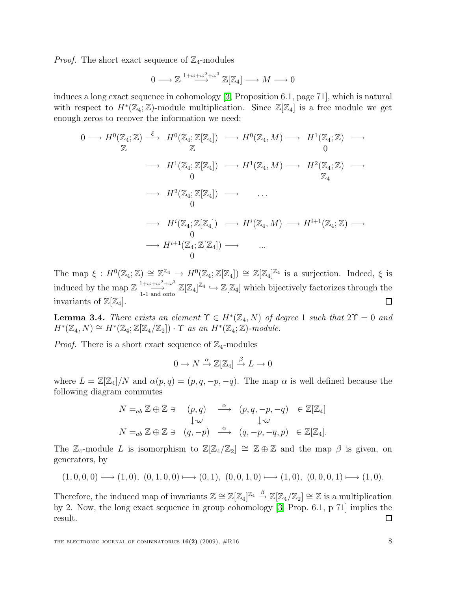*Proof.* The short exact sequence of  $\mathbb{Z}_4$ -modules

$$
0\longrightarrow \mathbb{Z} \stackrel{1+\omega+\omega^2+\omega^3}{\longrightarrow} \mathbb{Z}[\mathbb{Z}_4] \longrightarrow M \longrightarrow 0
$$

induces a long exact sequence in cohomology [\[3,](#page-10-5) Proposition 6.1, page 71], which is natural with respect to  $H^*(\mathbb{Z}_4;\mathbb{Z})$ -module multiplication. Since  $\mathbb{Z}[\mathbb{Z}_4]$  is a free module we get enough zeros to recover the information we need:

$$
0 \longrightarrow H^{0}(\mathbb{Z}_{4};\mathbb{Z}) \xrightarrow{\xi} H^{0}(\mathbb{Z}_{4};\mathbb{Z}[\mathbb{Z}_{4}]) \longrightarrow H^{0}(\mathbb{Z}_{4},M) \longrightarrow H^{1}(\mathbb{Z}_{4};\mathbb{Z}) \longrightarrow
$$
  
\n
$$
\longrightarrow H^{1}(\mathbb{Z}_{4};\mathbb{Z}[\mathbb{Z}_{4}]) \longrightarrow H^{1}(\mathbb{Z}_{4},M) \longrightarrow H^{2}(\mathbb{Z}_{4};\mathbb{Z}) \longrightarrow
$$
  
\n
$$
\longrightarrow H^{2}(\mathbb{Z}_{4};\mathbb{Z}[\mathbb{Z}_{4}]) \longrightarrow \cdots
$$
  
\n
$$
\longrightarrow H^{i}(\mathbb{Z}_{4};\mathbb{Z}[\mathbb{Z}_{4}]) \longrightarrow H^{i}(\mathbb{Z}_{4},M) \longrightarrow H^{i+1}(\mathbb{Z}_{4};\mathbb{Z}) \longrightarrow
$$
  
\n
$$
\longrightarrow H^{i+1}(\mathbb{Z}_{4};\mathbb{Z}[\mathbb{Z}_{4}]) \longrightarrow \cdots
$$
  
\n
$$
\longrightarrow 0
$$

The map  $\xi: H^0(\mathbb{Z}_4; \mathbb{Z}) \cong \mathbb{Z}^{\mathbb{Z}_4} \to H^0(\mathbb{Z}_4; \mathbb{Z}[\mathbb{Z}_4]) \cong \mathbb{Z}[\mathbb{Z}_4]^{\mathbb{Z}_4}$  is a surjection. Indeed,  $\xi$  is induced by the map  $\mathbb{Z} \longrightarrow^{\{1+\omega+\omega^2+\omega^3\}} \mathbb{Z}[\mathbb{Z}_4]^{\mathbb{Z}_4} \hookrightarrow \mathbb{Z}[\mathbb{Z}_4]$  which bijectively factorizes through the invariants of  $\mathbb{Z}[\mathbb{Z}_4]$ .  $\Box$ 

**Lemma 3.4.** There exists an element  $\Upsilon \in H^*(\mathbb{Z}_4, N)$  of degree 1 such that  $2\Upsilon = 0$  and  $H^*(\mathbb{Z}_4, N) \cong H^*(\mathbb{Z}_4; \mathbb{Z}[\mathbb{Z}_4/\mathbb{Z}_2]) \cdot \Upsilon$  as an  $H^*(\mathbb{Z}_4; \mathbb{Z})$ -module.

*Proof.* There is a short exact sequence of  $\mathbb{Z}_4$ -modules

$$
0 \to N \xrightarrow{\alpha} \mathbb{Z}[\mathbb{Z}_4] \xrightarrow{\beta} L \to 0
$$

where  $L = \mathbb{Z}[\mathbb{Z}_4]/N$  and  $\alpha(p,q) = (p,q,-p,-q)$ . The map  $\alpha$  is well defined because the following diagram commutes

$$
N =_{ab} \mathbb{Z} \oplus \mathbb{Z} \ni (p, q) \xrightarrow{\alpha} (p, q, -p, -q) \in \mathbb{Z}[\mathbb{Z}_4]
$$
  
\n
$$
\downarrow \cdot \omega \qquad \qquad \downarrow \cdot \omega
$$
  
\n
$$
N =_{ab} \mathbb{Z} \oplus \mathbb{Z} \ni (q, -p) \xrightarrow{\alpha} (q, -p, -q, p) \in \mathbb{Z}[\mathbb{Z}_4].
$$

The  $\mathbb{Z}_4$ -module L is isomorphism to  $\mathbb{Z}[\mathbb{Z}_4/\mathbb{Z}_2] \cong \mathbb{Z} \oplus \mathbb{Z}$  and the map  $\beta$  is given, on generators, by

$$
(1,0,0,0) \longmapsto (1,0), (0,1,0,0) \longmapsto (0,1), (0,0,1,0) \longmapsto (1,0), (0,0,0,1) \longmapsto (1,0).
$$

Therefore, the induced map of invariants  $\mathbb{Z} \cong \mathbb{Z}[\mathbb{Z}_4]^{\mathbb{Z}_4} \stackrel{\beta}{\to} \mathbb{Z}[\mathbb{Z}_4/\mathbb{Z}_2] \cong \mathbb{Z}$  is a multiplication by 2. Now, the long exact sequence in group cohomology [\[3,](#page-10-5) Prop. 6.1, p 71] implies the result. ◻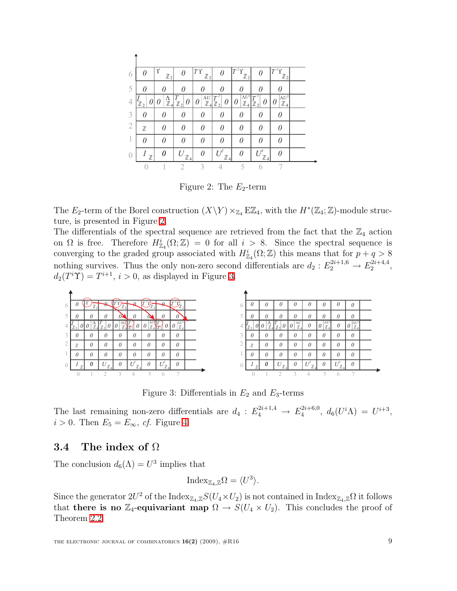| 6                |                | γ<br>$\mathbb{Z}_2$               |                     | T<br>$\mathbb{Z}_2$          |                            | $\mathbb{Z}_2$                  |                                | $\tau$<br>$\mathbb{Z}_2$        |  |
|------------------|----------------|-----------------------------------|---------------------|------------------------------|----------------------------|---------------------------------|--------------------------------|---------------------------------|--|
| 5                |                | 11                                |                     |                              |                            | 0                               |                                |                                 |  |
| 4                | $\mathbb{Z}_2$ | $\frac{\Lambda}{\mathbb{Z}}$<br>4 | 0<br>$\mathbb{Z}$ , | $\Lambda U$<br>I J<br>Z<br>4 | $T^2$<br>U<br>$\mathbb{Z}$ | $\Lambda U^2$<br>$\mathbb{Z}_4$ | T <sup>3</sup><br>$\mathbb{Z}$ | $\Lambda U^3$<br>$\mathbb{Z}_4$ |  |
| 3                |                |                                   | 11                  |                              |                            | 0                               | N                              |                                 |  |
| $\overline{2}$   | $\mathbb Z$    |                                   | N                   | N                            |                            | 0                               | Λ                              |                                 |  |
| 1                |                | N                                 | N                   | 0                            | Π                          | $\theta$                        | Λ                              |                                 |  |
| $\left( \right)$ | $\mathbb Z$    | N                                 | Z<br>$\overline{4}$ | Π                            | I F<br>$\mathbb{Z}_4$      | Ω                               | $I^{\beta}$<br>77<br>4         |                                 |  |
|                  |                |                                   |                     | 2                            |                            | ς                               |                                |                                 |  |

<span id="page-8-0"></span>Figure 2: The  $E_2$ -term

The  $E_2$ -term of the Borel construction  $(X \ Y) \times_{\mathbb{Z}_4} E \mathbb{Z}_4$ , with the  $H^*(\mathbb{Z}_4; \mathbb{Z})$ -module structure, is presented in Figure [2.](#page-8-0)

The differentials of the spectral sequence are retrieved from the fact that the  $\mathbb{Z}_4$  action on  $\Omega$  is free. Therefore  $H^i_{\mathbb{Z}_4}(\Omega;\mathbb{Z}) = 0$  for all  $i > 8$ . Since the spectral sequence is converging to the graded group associated with  $H^i_{\mathbb{Z}_4}(\Omega;\mathbb{Z})$  this means that for  $p+q>8$ nothing survives. Thus the only non-zero second differentials are  $d_2: E_2^{2i+1,6} \to E_2^{2i+4,4}$  $\frac{2i+4,4}{2},$  $d_2(T^i\Upsilon) = T^{i+1}, i > 0$ , as displayed in Figure [3.](#page-8-1)



<span id="page-8-1"></span>Figure 3: Differentials in  $E_2$  and  $E_3$ -terms

The last remaining non-zero differentials are  $d_4: E_4^{2i+1,4} \to E_4^{2i+6,0}$  $d_4^{(2i+6,0)}, d_6(U^i\Lambda) = U^{i+3},$  $i > 0$ . Then  $E_5 = E_{\infty}$ , cf. Figure [4.](#page-9-2)

### 3.4 The index of  $\Omega$

The conclusion  $d_6(\Lambda) = U^3$  implies that

$$
Index_{\mathbb{Z}_4,\mathbb{Z}}\Omega = \langle U^3 \rangle.
$$

Since the generator  $2U^2$  of the Index<sub>Z<sub>4</sub>, z</sub> $S(U_4 \times U_2)$  is not contained in Index<sub>Z<sub>4</sub>, z $\Omega$  it follows</sub> that there is no Z<sub>4</sub>-equivariant map  $\Omega \to S(U_4 \times U_2)$ . This concludes the proof of Theorem [2.2.](#page-3-2)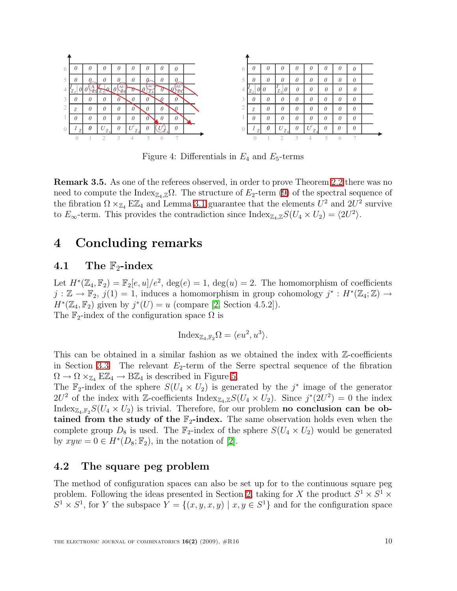

<span id="page-9-2"></span>Figure 4: Differentials in  $E_4$  and  $E_5$ -terms

Remark 3.5. As one of the referees observed, in order to prove Theorem [2.2](#page-3-2) there was no need to compute the Index<sub>Z4,Z</sub> $\Omega$ . The structure of E<sub>2</sub>-term [\(9\)](#page-6-2) of the spectral sequence of the fibration  $\Omega \times_{\mathbb{Z}_4} E \mathbb{Z}_4$  and Lemma [3.1](#page-6-3) guarantee that the elements  $U^2$  and  $2U^2$  survive to  $E_{\infty}$ -term. This provides the contradiction since  ${\rm Index}_{\mathbb{Z}_4,\mathbb{Z}}S(U_4 \times U_2) = \langle 2U^2 \rangle$ .

## <span id="page-9-0"></span>4 Concluding remarks

### 4.1 The  $\mathbb{F}_2$ -index

Let  $H^*(\mathbb{Z}_4, \mathbb{F}_2) = \mathbb{F}_2[e, u]/e^2$ ,  $deg(e) = 1$ ,  $deg(u) = 2$ . The homomorphism of coefficients  $j : \mathbb{Z} \to \mathbb{F}_2$ ,  $j(1) = 1$ , induces a homomorphism in group cohomology  $j^* : H^*(\mathbb{Z}_4; \mathbb{Z}) \to$  $H^*(\mathbb{Z}_4, \mathbb{F}_2)$  given by  $j^*(U) = u$  (compare [\[2,](#page-10-3) Section 4.5.2]). The  $\mathbb{F}_2$ -index of the configuration space  $\Omega$  is

$$
Index_{\mathbb{Z}_4, \mathbb{F}_2}\Omega = \langle eu^2, u^3 \rangle.
$$

This can be obtained in a similar fashion as we obtained the index with  $\mathbb{Z}$ -coefficients in Section [3.3.](#page-6-0) The relevant  $E_2$ -term of the Serre spectral sequence of the fibration  $\Omega \to \Omega \times_{\mathbb{Z}_4} E\mathbb{Z}_4 \to B\mathbb{Z}_4$  is described in Figure [5.](#page-10-6)

The  $\mathbb{F}_2$ -index of the sphere  $S(U_4 \times U_2)$  is generated by the j<sup>\*</sup> image of the generator  $2U^2$  of the index with Z-coefficients  ${\rm Index}_{\mathbb{Z}_4,\mathbb{Z}}S(U_4\times U_2)$ . Since  $j^*(2U^2)=0$  the index Index<sub>Z4,F2</sub>S( $U_4 \times U_2$ ) is trivial. Therefore, for our problem **no conclusion can be ob**tained from the study of the  $\mathbb{F}_2$ -index. The same observation holds even when the complete group  $D_8$  is used. The  $\mathbb{F}_2$ -index of the sphere  $S(U_4 \times U_2)$  would be generated by  $xyw = 0 \in H^*(D_8; \mathbb{F}_2)$ , in the notation of [\[2\]](#page-10-3).

### <span id="page-9-1"></span>4.2 The square peg problem

The method of configuration spaces can also be set up for to the continuous square peg problem. Following the ideas presented in Section [2,](#page-2-0) taking for X the product  $S^1 \times S^1 \times$  $S^1 \times S^1$ , for Y the subspace  $Y = \{(x, y, x, y) \mid x, y \in S^1\}$  and for the configuration space